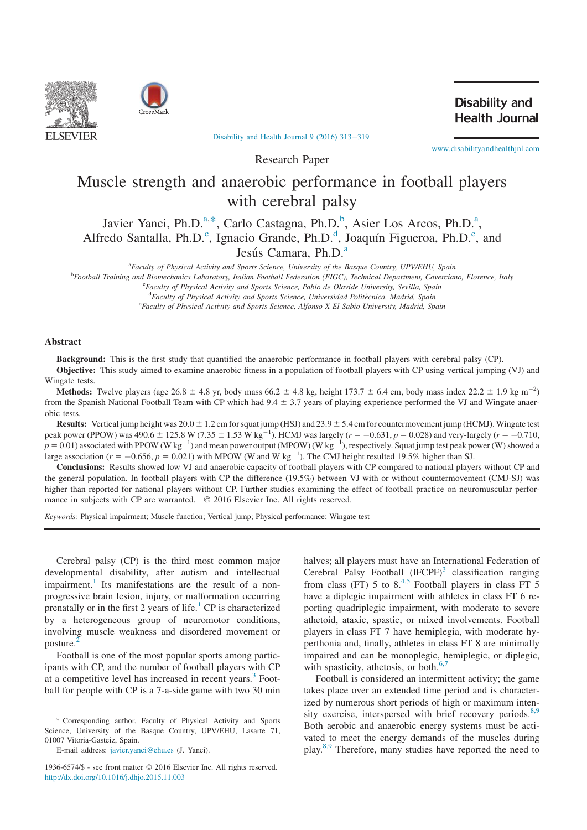# Muscle strength and anaerobic performance in football players with cerebral palsy

Javier Yanci, Ph.D.<sup>a,\*</sup>, Carlo Castagna, Ph.D.<sup>b</sup>, Asier Los Arcos, Ph.D.<sup>a</sup>, Alfredo Santalla, Ph.D.<sup>c</sup>, Ignacio Grande, Ph.D.<sup>d</sup>, Joaquín Figueroa, Ph.D.<sup>e</sup>, and Jesús Camara, Ph.D.<sup>a</sup>

<sup>a</sup>Faculty of Physical Activity and Sports Science, University of the Basque Country, UPV/EHU, Spain

<sup>b</sup>Football Training and Biomechanics Laboratory, Italian Football Federation (FIGC), Technical Department, Coverciano, Florence, Italy

<sup>c</sup>Faculty of Physical Activity and Sports Science, Pablo de Olavide University, Sevilla, Spain

<sup>d</sup>Faculty of Physical Activity and Sports Science, Universidad Politécnica, Madrid, Spain

<sup>e</sup> Faculty of Physical Activity and Sports Science, Alfonso X El Sabio University, Madrid, Spain

#### Abstract

Background: This is the first study that quantified the anaerobic performance in football players with cerebral palsy (CP).

Objective: This study aimed to examine anaerobic fitness in a population of football players with CP using vertical jumping (VJ) and Wingate tests.

**Methods:** Twelve players (age 26.8  $\pm$  4.8 yr, body mass 66.2  $\pm$  4.8 kg, height 173.7  $\pm$  6.4 cm, body mass index 22.2  $\pm$  1.9 kg m<sup>-2</sup>) from the Spanish National Football Team with CP which had  $9.4 \pm 3.7$  years of playing experience performed the VJ and Wingate anaerobic tests.

**Results:** Vertical jump height was  $20.0 \pm 1.2$  cm for squat jump (HSJ) and  $23.9 \pm 5.4$  cm for countermovement jump (HCMJ). Wingate test peak power (PPOW) was 490.6  $\pm$  125.8 W (7.35  $\pm$  1.53 W kg<sup>-1</sup>). HCMJ was largely ( $r = -0.631$ ,  $p = 0.028$ ) and very-largely ( $r = -0.710$ ,  $p = 0.01$ ) associated with PPOW (W kg $^{-1}$ ) and mean power output (MPOW) (W kg $^{-1}$ ), respectively. Squat jump test peak power (W) showed a large association ( $r = -0.656$ ,  $p = 0.021$ ) with MPOW (W and W kg<sup>-1</sup>). The CMJ height resulted 19.5% higher than SJ.

Conclusions: Results showed low VJ and anaerobic capacity of football players with CP compared to national players without CP and the general population. In football players with CP the difference (19.5%) between VJ with or without countermovement (CMJ-SJ) was higher than reported for national players without CP. Further studies examining the effect of football practice on neuromuscular performance in subjects with CP are warranted.  $\degree$  2016 Elsevier Inc. All rights reserved.

Keywords: Physical impairment; Muscle function; Vertical jump; Physical performance; Wingate test

Cerebral palsy (CP) is the third most common major developmental disability, after autism and intellectual impairment.<sup>1</sup> Its manifestations are the result of a nonprogressive brain lesion, injury, or malformation occurring prenatally or in the first 2 years of life.<sup>1</sup> CP is characterized by a heterogeneous group of neuromotor conditions, involving muscle weakness and disordered movement or posture.<sup>2</sup>

Football is one of the most popular sports among participants with CP, and the number of football players with CP at a competitive level has increased in recent years.<sup>3</sup> Football for people with CP is a 7-a-side game with two 30 min

halves; all players must have an International Federation of Cerebral Palsy Football  $(IFCPF)^3$  classification ranging from class (FT) 5 to  $8^{4,5}$  Football players in class FT 5 have a diplegic impairment with athletes in class FT 6 reporting quadriplegic impairment, with moderate to severe athetoid, ataxic, spastic, or mixed involvements. Football players in class FT 7 have hemiplegia, with moderate hyperthonia and, finally, athletes in class FT 8 are minimally impaired and can be monoplegic, hemiplegic, or diplegic, with spasticity, athetosis, or both. $6,7$ 

Football is considered an intermittent activity; the game takes place over an extended time period and is characterized by numerous short periods of high or maximum intensity exercise, interspersed with brief recovery periods.<sup>8,9</sup> Both aerobic and anaerobic energy systems must be activated to meet the energy demands of the muscles during play.8,9 Therefore, many studies have reported the need to

<sup>\*</sup> Corresponding author. Faculty of Physical Activity and Sports Science, University of the Basque Country, UPV/EHU, Lasarte 71, 01007 Vitoria-Gasteiz, Spain.

E-mail address: javier.yanci@ehu.es (J. Yanci).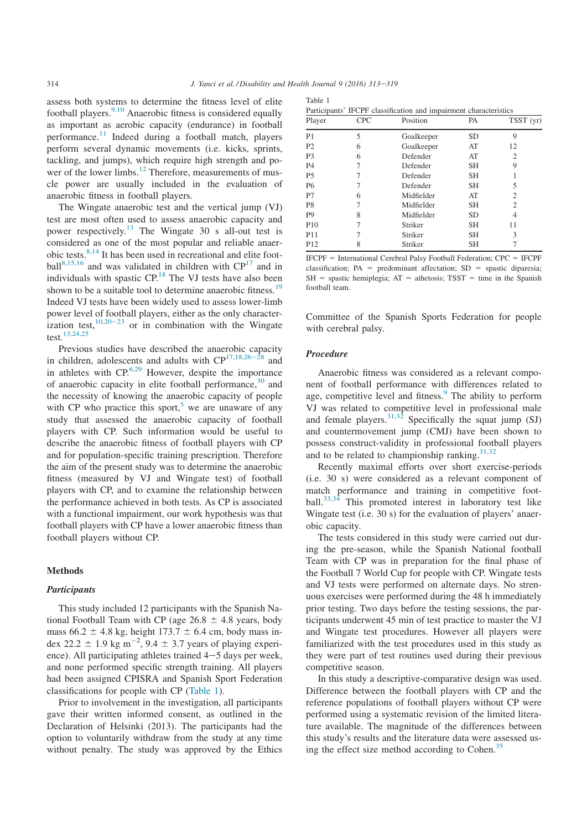assess both systems to determine the fitness level of elite football players.  $9,10$  Anaerobic fitness is considered equally as important as aerobic capacity (endurance) in football performance.<sup>11</sup> Indeed during a football match, players perform several dynamic movements (i.e. kicks, sprints, tackling, and jumps), which require high strength and power of the lower limbs. $12$  Therefore, measurements of muscle power are usually included in the evaluation of anaerobic fitness in football players.

The Wingate anaerobic test and the vertical jump (VJ) test are most often used to assess anaerobic capacity and power respectively.<sup>13</sup> The Wingate 30 s all-out test is considered as one of the most popular and reliable anaerobic tests.<sup>8,14</sup> It has been used in recreational and elite football<sup>8,15,16</sup> and was validated in children with  $\text{CP}^{17}$  and in individuals with spastic  $\text{CP}^{18}$ . The VJ tests have also been shown to be a suitable tool to determine anaerobic fitness.<sup>19</sup> Indeed VJ tests have been widely used to assess lower-limb power level of football players, either as the only characterization test,<sup>10,20-23</sup> or in combination with the Wingate test.13,24,25

Previous studies have described the anaerobic capacity in children, adolescents and adults with  $\text{CP}^{17,18,26-28}$  and in athletes with  $CP<sup>6,29</sup>$  However, despite the importance of anaerobic capacity in elite football performance,  $30$  and the necessity of knowing the anaerobic capacity of people with CP who practice this sport,<sup>5</sup> we are unaware of any study that assessed the anaerobic capacity of football players with CP. Such information would be useful to describe the anaerobic fitness of football players with CP and for population-specific training prescription. Therefore the aim of the present study was to determine the anaerobic fitness (measured by VJ and Wingate test) of football players with CP, and to examine the relationship between the performance achieved in both tests. As CP is associated with a functional impairment, our work hypothesis was that football players with CP have a lower anaerobic fitness than football players without CP.

#### Methods

### **Participants**

This study included 12 participants with the Spanish National Football Team with CP (age  $26.8 \pm 4.8$  years, body mass 66.2  $\pm$  4.8 kg, height 173.7  $\pm$  6.4 cm, body mass index 22.2  $\pm$  1.9 kg m<sup>-2</sup>, 9.4  $\pm$  3.7 years of playing experience). All participating athletes trained  $4-5$  days per week, and none performed specific strength training. All players had been assigned CPISRA and Spanish Sport Federation classifications for people with CP (Table 1).

Prior to involvement in the investigation, all participants gave their written informed consent, as outlined in the Declaration of Helsinki (2013). The participants had the option to voluntarily withdraw from the study at any time without penalty. The study was approved by the Ethics

| Table 1 |  |  |                                                                   |  |
|---------|--|--|-------------------------------------------------------------------|--|
|         |  |  | Participants' IFCPF classification and impairment characteristics |  |

| Player          | <b>CPC</b> | Position   | PA        | TSST (yr)      |
|-----------------|------------|------------|-----------|----------------|
| P <sub>1</sub>  | 5          | Goalkeeper | <b>SD</b> | 9              |
| P <sub>2</sub>  | 6          | Goalkeeper | AT        | 12             |
| P <sub>3</sub>  | 6          | Defender   | AT        | $\overline{2}$ |
| <b>P4</b>       |            | Defender   | <b>SH</b> | 9              |
| P <sub>5</sub>  |            | Defender   | <b>SH</b> |                |
| <b>P6</b>       |            | Defender   | <b>SH</b> | 5              |
| P7              | 6          | Midfielder | AT        | 2              |
| P <sub>8</sub>  |            | Midfielder | <b>SH</b> | $\overline{2}$ |
| P <sub>9</sub>  | 8          | Midfielder | <b>SD</b> | 4              |
| P <sub>10</sub> |            | Striker    | <b>SH</b> | 11             |
| P11             |            | Striker    | <b>SH</b> | 3              |
| P <sub>12</sub> | 8          | Striker    | <b>SH</b> |                |

 $IFCPF = International Cerebral$  Palsy Football Federation;  $CPC = IFCPF$ classification;  $PA$  = predominant affectation;  $SD$  = spastic diparesia;  $SH =$  spastic hemiplegia;  $AT =$  athetosis; TSST = time in the Spanish football team.

Committee of the Spanish Sports Federation for people with cerebral palsy.

#### Procedure

Anaerobic fitness was considered as a relevant component of football performance with differences related to age, competitive level and fitness.<sup>9</sup> The ability to perform VJ was related to competitive level in professional male and female players.<sup>31,32</sup> Specifically the squat jump (SJ) and countermovement jump (CMJ) have been shown to possess construct-validity in professional football players and to be related to championship ranking. $31,32$ 

Recently maximal efforts over short exercise-periods (i.e. 30 s) were considered as a relevant component of match performance and training in competitive football.<sup>33,34</sup> This promoted interest in laboratory test like Wingate test (i.e. 30 s) for the evaluation of players' anaerobic capacity.

The tests considered in this study were carried out during the pre-season, while the Spanish National football Team with CP was in preparation for the final phase of the Football 7 World Cup for people with CP. Wingate tests and VJ tests were performed on alternate days. No strenuous exercises were performed during the 48 h immediately prior testing. Two days before the testing sessions, the participants underwent 45 min of test practice to master the VJ and Wingate test procedures. However all players were familiarized with the test procedures used in this study as they were part of test routines used during their previous competitive season.

In this study a descriptive-comparative design was used. Difference between the football players with CP and the reference populations of football players without CP were performed using a systematic revision of the limited literature available. The magnitude of the differences between this study's results and the literature data were assessed using the effect size method according to Cohen.<sup>35</sup>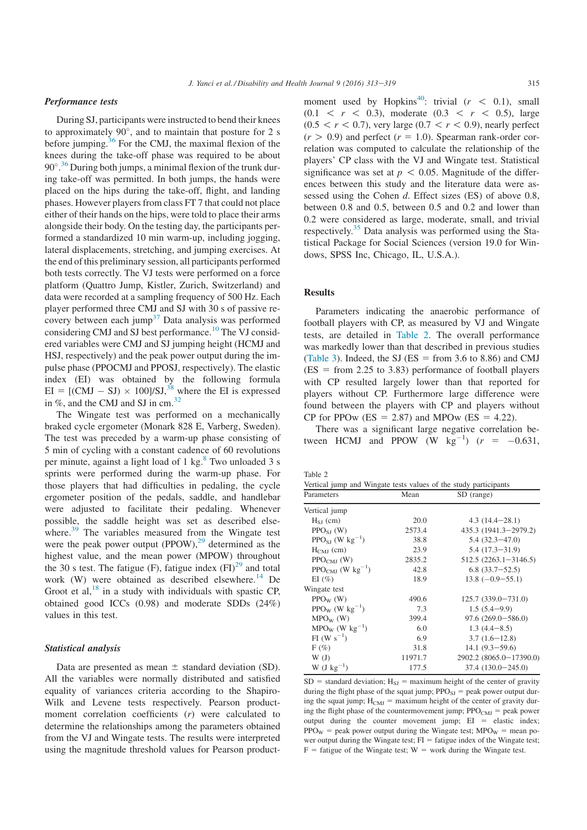## Performance tests

During SJ, participants were instructed to bend their knees to approximately  $90^\circ$ , and to maintain that posture for 2 s before jumping.<sup>36</sup> For the CMJ, the maximal flexion of the knees during the take-off phase was required to be about  $90^\circ$ .<sup>36</sup> During both jumps, a minimal flexion of the trunk during take-off was permitted. In both jumps, the hands were placed on the hips during the take-off, flight, and landing phases. However players from class FT 7 that could not place either of their hands on the hips, were told to place their arms alongside their body. On the testing day, the participants performed a standardized 10 min warm-up, including jogging, lateral displacements, stretching, and jumping exercises. At the end of this preliminary session, all participants performed both tests correctly. The VJ tests were performed on a force platform (Quattro Jump, Kistler, Zurich, Switzerland) and data were recorded at a sampling frequency of 500 Hz. Each player performed three CMJ and SJ with 30 s of passive recovery between each  $\text{jump}^{37}$  Data analysis was performed considering CMJ and SJ best performance.<sup>10</sup> The VJ considered variables were CMJ and SJ jumping height (HCMJ and HSJ, respectively) and the peak power output during the impulse phase (PPOCMJ and PPOSJ, respectively). The elastic index (EI) was obtained by the following formula  $EI = [(CMJ - SJ) \times 100]/SI$ ,<sup>38</sup> where the EI is expressed in  $\%$ , and the CMJ and SJ in cm.<sup>32</sup>

The Wingate test was performed on a mechanically braked cycle ergometer (Monark 828 E, Varberg, Sweden). The test was preceded by a warm-up phase consisting of 5 min of cycling with a constant cadence of 60 revolutions per minute, against a light load of  $1 \text{ kg}$ .<sup>8</sup> Two unloaded  $3 \text{ s}$ sprints were performed during the warm-up phase. For those players that had difficulties in pedaling, the cycle ergometer position of the pedals, saddle, and handlebar were adjusted to facilitate their pedaling. Whenever possible, the saddle height was set as described elsewhere.<sup>39</sup> The variables measured from the Wingate test were the peak power output  $(PPOW)$ ,<sup>29</sup> determined as the highest value, and the mean power (MPOW) throughout the 30 s test. The fatigue (F), fatigue index  $(FI)^{29}$  and total work (W) were obtained as described elsewhere.<sup>14</sup> De Groot et al,  $^{18}$  in a study with individuals with spastic CP, obtained good ICCs (0.98) and moderate SDDs (24%) values in this test.

#### Statistical analysis

Data are presented as mean  $\pm$  standard deviation (SD). All the variables were normally distributed and satisfied equality of variances criteria according to the Shapiro-Wilk and Levene tests respectively. Pearson productmoment correlation coefficients (r) were calculated to determine the relationships among the parameters obtained from the VJ and Wingate tests. The results were interpreted using the magnitude threshold values for Pearson productmoment used by Hopkins<sup>40</sup>: trivial  $(r < 0.1)$ , small  $(0.1 < r < 0.3)$ , moderate  $(0.3 < r < 0.5)$ , large  $(0.5 < r < 0.7)$ , very large  $(0.7 < r < 0.9)$ , nearly perfect  $(r > 0.9)$  and perfect  $(r = 1.0)$ . Spearman rank-order correlation was computed to calculate the relationship of the players' CP class with the VJ and Wingate test. Statistical significance was set at  $p < 0.05$ . Magnitude of the differences between this study and the literature data were assessed using the Cohen d. Effect sizes (ES) of above 0.8, between 0.8 and 0.5, between 0.5 and 0.2 and lower than 0.2 were considered as large, moderate, small, and trivial respectively.<sup>35</sup> Data analysis was performed using the Statistical Package for Social Sciences (version 19.0 for Windows, SPSS Inc, Chicago, IL, U.S.A.).

# Results

Parameters indicating the anaerobic performance of football players with CP, as measured by VJ and Wingate tests, are detailed in Table 2. The overall performance was markedly lower than that described in previous studies (Table 3). Indeed, the SJ ( $ES = from 3.6$  to 8.86) and CMJ  $(ES = from 2.25 to 3.83)$  performance of football players with CP resulted largely lower than that reported for players without CP. Furthermore large difference were found between the players with CP and players without CP for PPOw (ES = 2.87) and MPOw (ES = 4.22).

There was a significant large negative correlation between HCMJ and PPOW  $(W \text{ kg}^{-1})$   $(r = -0.631,$ 

| Vertical jump and Wingate tests values of the study participants |         |                          |
|------------------------------------------------------------------|---------|--------------------------|
| Parameters                                                       | Mean    | SD (range)               |
| Vertical jump                                                    |         |                          |
| $HST$ (cm)                                                       | 20.0    | $4.3(14.4-28.1)$         |
| $PPOST$ (W)                                                      | 2573.4  | 435.3 (1941.3-2979.2)    |
| $PPO_{SI}$ (W kg <sup>-1</sup> )                                 | 38.8    | $5.4(32.3 - 47.0)$       |
| $H_{CMI}$ (cm)                                                   | 23.9    | $5.4(17.3-31.9)$         |
| $PPO_{CMI}$ (W)                                                  | 2835.2  | $512.5(2263.1 - 3146.5)$ |
| $PPO_{CMI}$ (W kg <sup>-1</sup> )                                | 42.8    | $6.8(33.7 - 52.5)$       |
| EI(%)                                                            | 18.9    | $13.8(-0.9-55.1)$        |
| Wingate test                                                     |         |                          |
| $PPO_W(W)$                                                       | 490.6   | $125.7(339.0-731.0)$     |
| $PPO_W$ (W kg <sup>-1</sup> )                                    | 7.3     | $1.5(5.4-9.9)$           |
| $MPO_W(W)$                                                       | 399.4   | $97.6(269.0-586.0)$      |
| $MPO_W$ (W kg <sup>-1</sup> )                                    | 6.0     | $1.3(4.4 - 8.5)$         |
| $FI$ (W s <sup>-1</sup> )                                        | 6.9     | $3.7(1.6-12.8)$          |
| $F(\%)$                                                          | 31.8    | $14.1(9.3 - 59.6)$       |
| W(J)                                                             | 11971.7 | 2902.2 (8065.0-17390.0)  |
| $W (J kg^{-1})$                                                  | 177.5   | $37.4(130.0 - 245.0)$    |

 $SD =$  standard deviation;  $H_{SI} =$  maximum height of the center of gravity during the flight phase of the squat jump;  $PPO<sub>SI</sub>$  = peak power output during the squat jump;  $H_{CMJ}$  = maximum height of the center of gravity during the flight phase of the countermovement jump;  $PPO<sub>CMJ</sub>$  = peak power output during the counter movement jump;  $EI =$  elastic index;  $PPO<sub>W</sub>$  = peak power output during the Wingate test; MPO<sub>W</sub> = mean power output during the Wingate test;  $FI = \text{fatigue index of the Wingate test};$  $F =$  fatigue of the Wingate test;  $W =$  work during the Wingate test.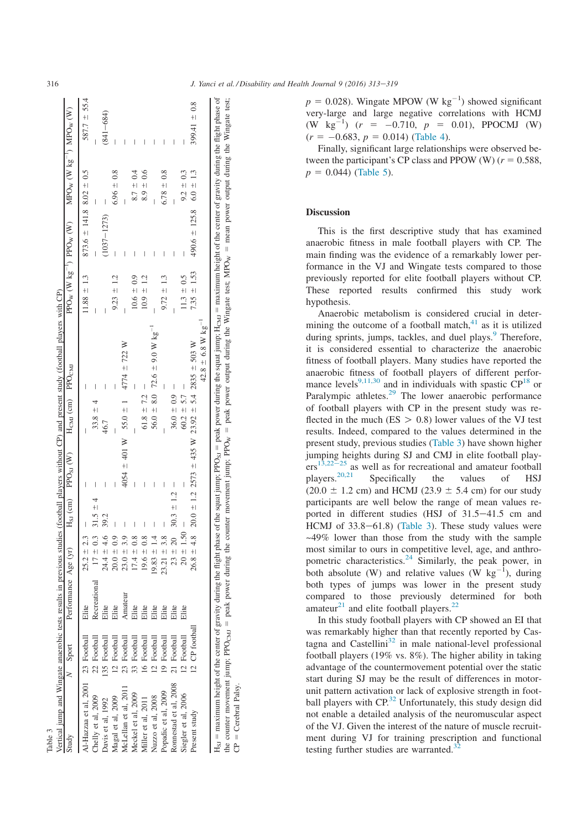| Vertical jump and Wingate anaerobic tests results in previous studies (football players without CP) and present study (football players with CP)<br>Study                                                                                                                                                                                                                                                                                           | Sport<br>$\geq$ | Performance Age (yr) |                 | $H_{SJ}$ (cm)            | $PPO_{SJ}$ $(W)$         | $H_{CMI}$ (cm) $PPO_{CMI}$ |                                                                  |                 |                                  | $\text{PPO}_W(\text{W kg}^{-1}) \text{ PPO}_W(\text{W})$ MPO <sub>W</sub> (W kg <sup>-1</sup> ) MPO <sub>W</sub> (W) |                  |
|-----------------------------------------------------------------------------------------------------------------------------------------------------------------------------------------------------------------------------------------------------------------------------------------------------------------------------------------------------------------------------------------------------------------------------------------------------|-----------------|----------------------|-----------------|--------------------------|--------------------------|----------------------------|------------------------------------------------------------------|-----------------|----------------------------------|----------------------------------------------------------------------------------------------------------------------|------------------|
| Al-Hazzaa et al, 2001 23 Football                                                                                                                                                                                                                                                                                                                                                                                                                   |                 | Elite                | $25.2 \pm 2.3$  |                          | I                        |                            | I                                                                | $11.88 \pm 1.3$ | $873.6 \pm 141.8$ $8.02 \pm 0.5$ |                                                                                                                      | $587.7 \pm 55.4$ |
| Chelly et al, 2009                                                                                                                                                                                                                                                                                                                                                                                                                                  | 22 Football     | Recreational         | $17 \pm 0.3$    | 4<br>$31.5 +$            | $\overline{\phantom{a}}$ | $33.8 \pm 4$               |                                                                  | $\overline{1}$  |                                  |                                                                                                                      |                  |
| Davis et al, 1992                                                                                                                                                                                                                                                                                                                                                                                                                                   | 135 Football    | Elite                | $24.4 \pm 4.6$  | 39.2                     | Ī                        | 46.7                       |                                                                  | Ī               | $(1037 - 1273)$                  |                                                                                                                      | $(841 - 684)$    |
| Magal et al, 2009                                                                                                                                                                                                                                                                                                                                                                                                                                   | 12 Football     | Elite                | $20.0 \pm 0.9$  |                          |                          |                            |                                                                  | $9.23 \pm 1.2$  |                                  | $6.96 \pm 0.8$                                                                                                       |                  |
| McLellan et al, 2011                                                                                                                                                                                                                                                                                                                                                                                                                                | 23 Football     | Amateur              | $23.0 \pm 3.9$  | Ī                        | 4054 ± 401 W             |                            | $55.0 \pm 1$ $4774 \pm 722$ W                                    |                 | Ī                                | Ī                                                                                                                    |                  |
| Meckel et al, 2009                                                                                                                                                                                                                                                                                                                                                                                                                                  | 33 Football     | Elite                | $17.4 \pm 0.8$  | I                        | I                        | I                          |                                                                  | $10.6 \pm 0.9$  | I                                | $8.7 \pm 0.4$                                                                                                        |                  |
| Miller et al, 2011                                                                                                                                                                                                                                                                                                                                                                                                                                  | 16 Football     | Elite                | $19.6 \pm 0.8$  | $\overline{\phantom{a}}$ | I                        | 61.8 $\pm$ 7.2.            |                                                                  | $10.9 \pm 1.2$  | I                                | $8.9 \pm 0.6$                                                                                                        |                  |
| Nuzzo et al, 2008                                                                                                                                                                                                                                                                                                                                                                                                                                   | 12 Football     | Elite                | $19.83 \pm 1.4$ | I                        | I                        |                            | $56.0 \pm 8.0$ 72.6 $\pm$ 9.0 W kg <sup>-1</sup>                 |                 | I                                | I                                                                                                                    |                  |
| Popadic et al, 2009                                                                                                                                                                                                                                                                                                                                                                                                                                 | 19 Football     | Elite                | $23.21 \pm 3.8$ |                          | I                        |                            |                                                                  | $9.72 \pm 1.3$  | $\overline{\phantom{a}}$         | $6.78 \pm 0.8$                                                                                                       |                  |
| Ronnestad et al, 2008                                                                                                                                                                                                                                                                                                                                                                                                                               | 21 Football     | Elite                | $23 + 20$       | $30.3 \pm 1.2$           |                          | $36.0 \pm 0.9$             | I                                                                |                 | Ī                                | Ī                                                                                                                    |                  |
| Siegler et al, 2006                                                                                                                                                                                                                                                                                                                                                                                                                                 | 12 Football     | Elite                | $20 \pm 1.50$   |                          |                          | $60.2 \pm 5.7$             |                                                                  | $11.3 \pm 0.5$  |                                  | $9.2 \pm 0.3$                                                                                                        | I                |
| Present study                                                                                                                                                                                                                                                                                                                                                                                                                                       | 12 CP footbal   |                      | $26.8 \pm 4.8$  |                          |                          |                            | $20.0 \pm 1.2$ 2573 $\pm$ 435 W 23.92 $\pm$ 5.4 2835 $\pm$ 503 W | $7.35 \pm 1.53$ | $490.6 \pm 125.8$                | $6.0 \pm 1.3$                                                                                                        | 399.41 $\pm$ 0.8 |
|                                                                                                                                                                                                                                                                                                                                                                                                                                                     |                 |                      |                 |                          |                          |                            | $42.8 \pm 6.8$ W kg <sup>-1</sup>                                |                 |                                  |                                                                                                                      |                  |
| the counter movement jump; $PPO_{CM}$ = peak power during the counter movement jump; $PPO_W$ = peak power output during the Wingate test; MPO <sub>W</sub> = mean power output during the Wingate test;<br>$H_{SJ}$ = maximum height of the center of gravity during the flight phase of the squat jump; PPO <sub>53</sub> = peak power during the squat jump; H <sub>CM</sub> = maximum height of the center of gravity during the flight phase of |                 |                      |                 |                          |                          |                            |                                                                  |                 |                                  |                                                                                                                      |                  |
| $CP = Cerebral$ Palsy.                                                                                                                                                                                                                                                                                                                                                                                                                              |                 |                      |                 |                          |                          |                            |                                                                  |                 |                                  |                                                                                                                      |                  |

 $CP = C$ erebral Palsy.

= Cerebral Palsy.

 $p = 0.028$ ). Wingate MPOW (W kg<sup>-1</sup>) showed significant very-large and large negative correlations with HCMJ (W kg<sup>-1</sup>)  $(r = -0.710, p = 0.01)$ , PPOCMJ (W)  $(r = -0.683, p = 0.014)$  (Table 4).

Finally, significant large relationships were observed between the participant's CP class and PPOW (W)  $(r = 0.588$ .  $p = 0.044$ ) (Table 5).

## Discussion

This is the first descriptive study that has examined anaerobic fitness in male football players with CP. The main finding was the evidence of a remarkably lower performance in the VJ and Wingate tests compared to those previously reported for elite football players without CP. These reported results confirmed this study work hypothesis.

Anaerobic metabolism is considered crucial in determining the outcome of a football match, $41$  as it is utilized during sprints, jumps, tackles, and duel plays.<sup>9</sup> Therefore, it is considered essential to characterize the anaerobic fitness of football players. Many studies have reported the anaerobic fitness of football players of different performance levels<sup>9,11,30</sup> and in individuals with spastic  $\widehat{CP}^{18}$  or Paralympic athletes.<sup>29</sup> The lower anaerobic performance of football players with CP in the present study was reflected in the much ( $ES > 0.8$ ) lower values of the VJ test results. Indeed, compared to the values determined in the present study, previous studies (Table 3) have shown higher jumping heights during SJ and CMJ in elite football play- $\text{ers}^{13,22-25}$  as well as for recreational and amateur football players.20,21 Specifically the values of HSJ  $(20.0 \pm 1.2 \text{ cm})$  and HCMJ (23.9  $\pm$  5.4 cm) for our study participants are well below the range of mean values reported in different studies (HSJ of  $31.5-41.5$  cm and HCMJ of 33.8-61.8) (Table 3). These study values were  $~149\%$  lower than those from the study with the sample most similar to ours in competitive level, age, and anthropometric characteristics.<sup>24</sup> Similarly, the peak power, in both absolute (W) and relative values (W  $kg^{-1}$ ), during both types of jumps was lower in the present study compared to those previously determined for both amateur<sup>21</sup> and elite football players.<sup>22</sup>

In this study football players with CP showed an EI that was remarkably higher than that recently reported by Castagna and Castellini<sup>32</sup> in male national-level professional football players (19% vs. 8%). The higher ability in taking advantage of the countermovement potential over the static start during SJ may be the result of differences in motorunit pattern activation or lack of explosive strength in football players with  $CP<sup>32</sup>$  Unfortunately, this study design did not enable a detailed analysis of the neuromuscular aspect of the VJ. Given the interest of the nature of muscle recruitment during VJ for training prescription and functional testing further studies are warranted.<sup>32</sup>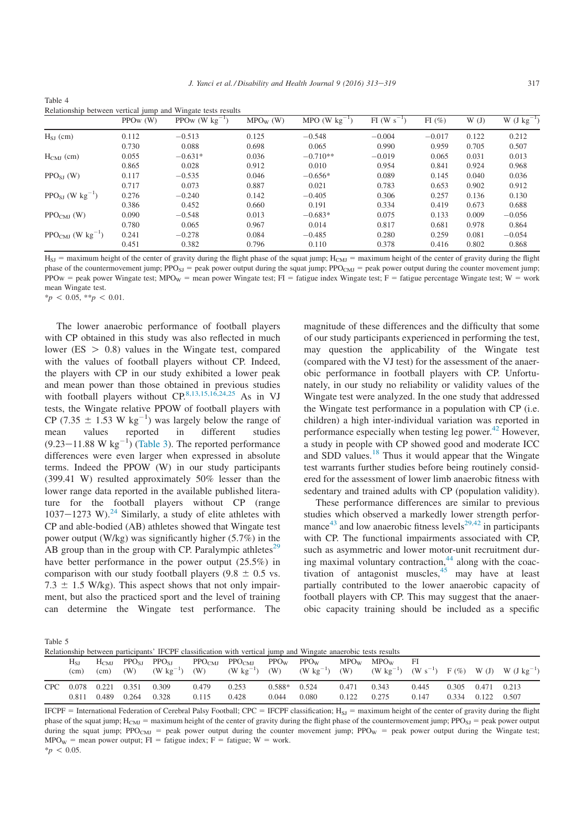Table 4 Relationship between vertical jump and Wingate tests results

|                                   | PPOw(W) | PPOw $(W kg^{-1})$ | $MPO_W(W)$ | MPO (W $kg^{-1}$ | $FI$ (W s <sup>-1</sup> ) | FI(%)    | W(J)  | $W (J kg^{-1})$ |
|-----------------------------------|---------|--------------------|------------|------------------|---------------------------|----------|-------|-----------------|
| $H_{SI}$ (cm)                     | 0.112   | $-0.513$           | 0.125      | $-0.548$         | $-0.004$                  | $-0.017$ | 0.122 | 0.212           |
|                                   | 0.730   | 0.088              | 0.698      | 0.065            | 0.990                     | 0.959    | 0.705 | 0.507           |
| $H_{CMJ}$ (cm)                    | 0.055   | $-0.631*$          | 0.036      | $-0.710**$       | $-0.019$                  | 0.065    | 0.031 | 0.013           |
|                                   | 0.865   | 0.028              | 0.912      | 0.010            | 0.954                     | 0.841    | 0.924 | 0.968           |
| $PPOST$ (W)                       | 0.117   | $-0.535$           | 0.046      | $-0.656*$        | 0.089                     | 0.145    | 0.040 | 0.036           |
|                                   | 0.717   | 0.073              | 0.887      | 0.021            | 0.783                     | 0.653    | 0.902 | 0.912           |
| $PPO_{SI}$ (W kg <sup>-1</sup> )  | 0.276   | $-0.240$           | 0.142      | $-0.405$         | 0.306                     | 0.257    | 0.136 | 0.130           |
|                                   | 0.386   | 0.452              | 0.660      | 0.191            | 0.334                     | 0.419    | 0.673 | 0.688           |
| $PPO_{CMI}$ (W)                   | 0.090   | $-0.548$           | 0.013      | $-0.683*$        | 0.075                     | 0.133    | 0.009 | $-0.056$        |
|                                   | 0.780   | 0.065              | 0.967      | 0.014            | 0.817                     | 0.681    | 0.978 | 0.864           |
| $PPO_{CMI}$ (W kg <sup>-1</sup> ) | 0.241   | $-0.278$           | 0.084      | $-0.485$         | 0.280                     | 0.259    | 0.081 | $-0.054$        |
|                                   | 0.451   | 0.382              | 0.796      | 0.110            | 0.378                     | 0.416    | 0.802 | 0.868           |

 $H_{SI}$  = maximum height of the center of gravity during the flight phase of the squat jump;  $H_{CMI}$  = maximum height of the center of gravity during the flight phase of the countermovement jump;  $PPO_{SI}$  = peak power output during the squat jump;  $PPO_{CMI}$  = peak power output during the counter movement jump; PPOw = peak power Wingate test; MPO<sub>W</sub> = mean power Wingate test; FI = fatigue index Wingate test; F = fatigue percentage Wingate test; W = work mean Wingate test.

 $*_{p}$  < 0.05,  $*_{p}$  < 0.01.

The lower anaerobic performance of football players with CP obtained in this study was also reflected in much lower ( $ES > 0.8$ ) values in the Wingate test, compared with the values of football players without CP. Indeed, the players with CP in our study exhibited a lower peak and mean power than those obtained in previous studies with football players without  $CP^{8,13,15,16,24,25}$  As in VJ tests, the Wingate relative PPOW of football players with CP (7.35  $\pm$  1.53 W kg<sup>-1</sup>) was largely below the range of mean values reported in different studies  $(9.23-11.88 \text{ W kg}^{-1})$  (Table 3). The reported performance differences were even larger when expressed in absolute terms. Indeed the PPOW (W) in our study participants (399.41 W) resulted approximately 50% lesser than the lower range data reported in the available published literature for the football players without CP (range  $1037-1273$  W).<sup>24</sup> Similarly, a study of elite athletes with CP and able-bodied (AB) athletes showed that Wingate test power output (W/kg) was significantly higher (5.7%) in the AB group than in the group with CP. Paralympic athletes<sup>29</sup> have better performance in the power output (25.5%) in comparison with our study football players (9.8  $\pm$  0.5 vs. 7.3  $\pm$  1.5 W/kg). This aspect shows that not only impairment, but also the practiced sport and the level of training can determine the Wingate test performance. The magnitude of these differences and the difficulty that some of our study participants experienced in performing the test, may question the applicability of the Wingate test (compared with the VJ test) for the assessment of the anaerobic performance in football players with CP. Unfortunately, in our study no reliability or validity values of the Wingate test were analyzed. In the one study that addressed the Wingate test performance in a population with CP (i.e. children) a high inter-individual variation was reported in performance especially when testing leg power.<sup>42</sup> However, a study in people with CP showed good and moderate ICC and SDD values.<sup>18</sup> Thus it would appear that the Wingate test warrants further studies before being routinely considered for the assessment of lower limb anaerobic fitness with sedentary and trained adults with CP (population validity).

These performance differences are similar to previous studies which observed a markedly lower strength performance<sup>43</sup> and low anaerobic fitness levels<sup>29,42</sup> in participants with CP. The functional impairments associated with CP, such as asymmetric and lower motor-unit recruitment during maximal voluntary contraction,<sup>44</sup> along with the coactivation of antagonist muscles,  $45$  may have at least partially contributed to the lower anaerobic capacity of football players with CP. This may suggest that the anaerobic capacity training should be included as a specific

| <b>STEP</b><br>. .<br>۰.<br>×<br>۹ |  |
|------------------------------------|--|
|------------------------------------|--|

|  |  |  |  | Relationship between participants' IFCPF classification with vertical jump and Wingate anaerobic tests results |  |  |  |  |  |  |  |  |
|--|--|--|--|----------------------------------------------------------------------------------------------------------------|--|--|--|--|--|--|--|--|
|--|--|--|--|----------------------------------------------------------------------------------------------------------------|--|--|--|--|--|--|--|--|

|      |                         |                |                                                      | Termitonomy occurrent participants in Cr. r chosineation with vertical pamp and willigate analogue testates |                |                                            |                   |                                               |                  |                  |                |       |                                  |                                                                                         |
|------|-------------------------|----------------|------------------------------------------------------|-------------------------------------------------------------------------------------------------------------|----------------|--------------------------------------------|-------------------|-----------------------------------------------|------------------|------------------|----------------|-------|----------------------------------|-----------------------------------------------------------------------------------------|
|      | H <sub>ST</sub><br>(cm) | (cm)           | $H_{CMI}$ PPO <sub>SI</sub> PPO <sub>SI</sub><br>(W) | $(W \text{ kg}^{-1})$ $(W)$                                                                                 |                | $PPOCMI$ $PPOCMI$<br>$(W \text{ kg}^{-1})$ | PPO <sub>W</sub>  | PPO <sub>W</sub><br>(W) $(W \text{ kg}^{-1})$ | MPO <sub>W</sub> | MPO <sub>W</sub> |                |       |                                  | (W) $(W \text{ kg}^{-1})$ $(W \text{ s}^{-1})$ $F (\%)$ $W (J)$ $W (J \text{ kg}^{-1})$ |
| CPC. | 0.078<br>0.811          | 0.221<br>0.489 | 0.351<br>0.264                                       | 0.309<br>0.328                                                                                              | 0.479<br>0.115 | 0.253<br>0.428                             | $0.588*$<br>0.044 | 0.524<br>0.080                                | 0.471<br>0.122   | 0.343<br>0.275   | 0.445<br>0.147 | 0.334 | $0.305$ $0.471$ $0.213$<br>0.122 | 0.507                                                                                   |

IFCPF = International Federation of Cerebral Palsy Football; CPC = IFCPF classification;  $H_{SI}$  = maximum height of the center of gravity during the flight phase of the squat jump;  $H_{CMJ}$  = maximum height of the center of gravity during the flight phase of the countermovement jump;  $PPO_{SI}$  = peak power output during the squat jump; PPO<sub>CMJ</sub> = peak power output during the counter movement jump; PPO<sub>W</sub> = peak power output during the Wingate test;  $MPO_W$  = mean power output; FI = fatigue index; F = fatigue; W = work.  $*_{p}$  < 0.05.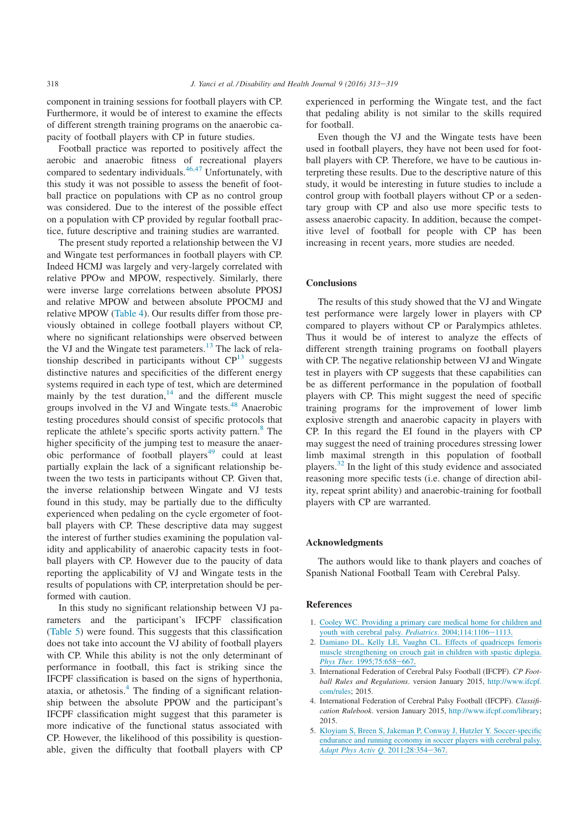component in training sessions for football players with CP. Furthermore, it would be of interest to examine the effects of different strength training programs on the anaerobic capacity of football players with CP in future studies.

Football practice was reported to positively affect the aerobic and anaerobic fitness of recreational players compared to sedentary individuals.46,47 Unfortunately, with this study it was not possible to assess the benefit of football practice on populations with CP as no control group was considered. Due to the interest of the possible effect on a population with CP provided by regular football practice, future descriptive and training studies are warranted.

The present study reported a relationship between the VJ and Wingate test performances in football players with CP. Indeed HCMJ was largely and very-largely correlated with relative PPOw and MPOW, respectively. Similarly, there were inverse large correlations between absolute PPOSJ and relative MPOW and between absolute PPOCMJ and relative MPOW (Table 4). Our results differ from those previously obtained in college football players without CP, where no significant relationships were observed between the VJ and the Wingate test parameters.<sup>13</sup> The lack of relationship described in participants without  $\mathbb{CP}^{13}$  suggests distinctive natures and specificities of the different energy systems required in each type of test, which are determined mainly by the test duration, $14$  and the different muscle groups involved in the VJ and Wingate tests.<sup>48</sup> Anaerobic testing procedures should consist of specific protocols that replicate the athlete's specific sports activity pattern.<sup>8</sup> The higher specificity of the jumping test to measure the anaerobic performance of football players<sup>49</sup> could at least partially explain the lack of a significant relationship between the two tests in participants without CP. Given that, the inverse relationship between Wingate and VJ tests found in this study, may be partially due to the difficulty experienced when pedaling on the cycle ergometer of football players with CP. These descriptive data may suggest the interest of further studies examining the population validity and applicability of anaerobic capacity tests in football players with CP. However due to the paucity of data reporting the applicability of VJ and Wingate tests in the results of populations with CP, interpretation should be performed with caution.

In this study no significant relationship between VJ parameters and the participant's IFCPF classification (Table 5) were found. This suggests that this classification does not take into account the VJ ability of football players with CP. While this ability is not the only determinant of performance in football, this fact is striking since the IFCPF classification is based on the signs of hyperthonia, ataxia, or athetosis. $4$  The finding of a significant relationship between the absolute PPOW and the participant's IFCPF classification might suggest that this parameter is more indicative of the functional status associated with CP. However, the likelihood of this possibility is questionable, given the difficulty that football players with CP experienced in performing the Wingate test, and the fact that pedaling ability is not similar to the skills required for football.

Even though the VJ and the Wingate tests have been used in football players, they have not been used for football players with CP. Therefore, we have to be cautious interpreting these results. Due to the descriptive nature of this study, it would be interesting in future studies to include a control group with football players without CP or a sedentary group with CP and also use more specific tests to assess anaerobic capacity. In addition, because the competitive level of football for people with CP has been increasing in recent years, more studies are needed.

#### **Conclusions**

The results of this study showed that the VJ and Wingate test performance were largely lower in players with CP compared to players without CP or Paralympics athletes. Thus it would be of interest to analyze the effects of different strength training programs on football players with CP. The negative relationship between VJ and Wingate test in players with CP suggests that these capabilities can be as different performance in the population of football players with CP. This might suggest the need of specific training programs for the improvement of lower limb explosive strength and anaerobic capacity in players with CP. In this regard the EI found in the players with CP may suggest the need of training procedures stressing lower limb maximal strength in this population of football players. $32$  In the light of this study evidence and associated reasoning more specific tests (i.e. change of direction ability, repeat sprint ability) and anaerobic-training for football players with CP are warranted.

#### Acknowledgments

The authors would like to thank players and coaches of Spanish National Football Team with Cerebral Palsy.

#### References

- 1. Cooley WC. Providing a primary care medical home for children and youth with cerebral palsy. Pediatrics. 2004;114:1106-1113.
- 2. Damiano DL, Kelly LE, Vaughn CL. Effects of quadriceps femoris muscle strengthening on crouch gait in children with spastic diplegia. Phys Ther. 1995;75:658-667.
- 3. International Federation of Cerebral Palsy Football (IFCPF). CP Football Rules and Regulations. version January 2015, http://www.ifcpf. com/rules; 2015.
- 4. International Federation of Cerebral Palsy Football (IFCPF). Classification Rulebook. version January 2015, http://www.ifcpf.com/library; 2015.
- 5. Kloyiam S, Breen S, Jakeman P, Conway J, Hutzler Y. Soccer-specific endurance and running economy in soccer players with cerebral palsy. Adapt Phys Activ Q. 2011;28:354-367.